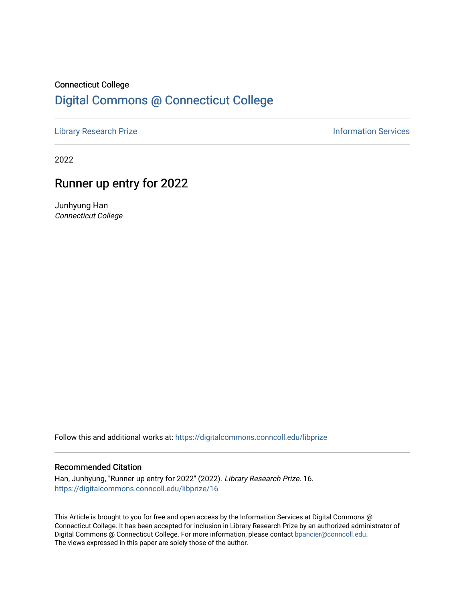# Connecticut College [Digital Commons @ Connecticut College](https://digitalcommons.conncoll.edu/)

[Library Research Prize](https://digitalcommons.conncoll.edu/libprize) **Information Services** 

2022

## Runner up entry for 2022

Junhyung Han Connecticut College

Follow this and additional works at: [https://digitalcommons.conncoll.edu/libprize](https://digitalcommons.conncoll.edu/libprize?utm_source=digitalcommons.conncoll.edu%2Flibprize%2F16&utm_medium=PDF&utm_campaign=PDFCoverPages) 

#### Recommended Citation

Han, Junhyung, "Runner up entry for 2022" (2022). Library Research Prize. 16. [https://digitalcommons.conncoll.edu/libprize/16](https://digitalcommons.conncoll.edu/libprize/16?utm_source=digitalcommons.conncoll.edu%2Flibprize%2F16&utm_medium=PDF&utm_campaign=PDFCoverPages)

This Article is brought to you for free and open access by the Information Services at Digital Commons @ Connecticut College. It has been accepted for inclusion in Library Research Prize by an authorized administrator of Digital Commons @ Connecticut College. For more information, please contact [bpancier@conncoll.edu](mailto:bpancier@conncoll.edu). The views expressed in this paper are solely those of the author.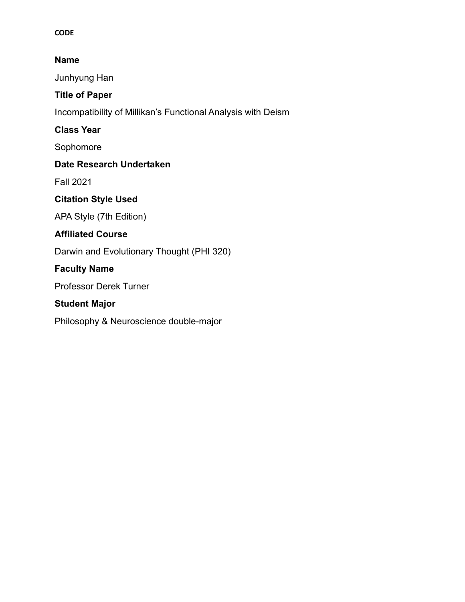#### **CODE**

## **Name**

Junhyung Han

## **Title of Paper**

Incompatibility of Millikan's Functional Analysis with Deism

**Class Year**

Sophomore

## **Date Research Undertaken**

Fall 2021

## **Citation Style Used**

APA Style (7th Edition)

## **Affiliated Course**

Darwin and Evolutionary Thought (PHI 320)

## **Faculty Name**

Professor Derek Turner

## **Student Major**

Philosophy & Neuroscience double-major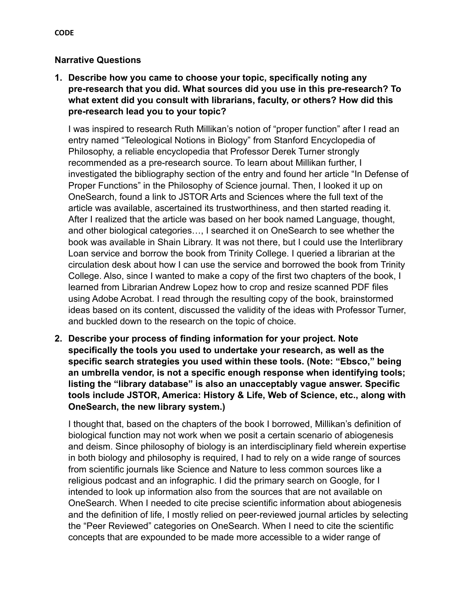#### **Narrative Questions**

**1. Describe how you came to choose your topic, specifically noting any pre-research that you did. What sources did you use in this pre-research? To what extent did you consult with librarians, faculty, or others? How did this pre-research lead you to your topic?**

I was inspired to research Ruth Millikan's notion of "proper function" after I read an entry named "Teleological Notions in Biology" from Stanford Encyclopedia of Philosophy, a reliable encyclopedia that Professor Derek Turner strongly recommended as a pre-research source. To learn about Millikan further, I investigated the bibliography section of the entry and found her article "In Defense of Proper Functions" in the Philosophy of Science journal. Then, I looked it up on OneSearch, found a link to JSTOR Arts and Sciences where the full text of the article was available, ascertained its trustworthiness, and then started reading it. After I realized that the article was based on her book named Language, thought, and other biological categories…, I searched it on OneSearch to see whether the book was available in Shain Library. It was not there, but I could use the Interlibrary Loan service and borrow the book from Trinity College. I queried a librarian at the circulation desk about how I can use the service and borrowed the book from Trinity College. Also, since I wanted to make a copy of the first two chapters of the book, I learned from Librarian Andrew Lopez how to crop and resize scanned PDF files using Adobe Acrobat. I read through the resulting copy of the book, brainstormed ideas based on its content, discussed the validity of the ideas with Professor Turner, and buckled down to the research on the topic of choice.

**2. Describe your process of finding information for your project. Note specifically the tools you used to undertake your research, as well as the specific search strategies you used within these tools. (Note: "Ebsco," being an umbrella vendor, is not a specific enough response when identifying tools; listing the "library database" is also an unacceptably vague answer. Specific tools include JSTOR, America: History & Life, Web of Science, etc., along with OneSearch, the new library system.)**

I thought that, based on the chapters of the book I borrowed, Millikan's definition of biological function may not work when we posit a certain scenario of abiogenesis and deism. Since philosophy of biology is an interdisciplinary field wherein expertise in both biology and philosophy is required, I had to rely on a wide range of sources from scientific journals like Science and Nature to less common sources like a religious podcast and an infographic. I did the primary search on Google, for I intended to look up information also from the sources that are not available on OneSearch. When I needed to cite precise scientific information about abiogenesis and the definition of life, I mostly relied on peer-reviewed journal articles by selecting the "Peer Reviewed" categories on OneSearch. When I need to cite the scientific concepts that are expounded to be made more accessible to a wider range of